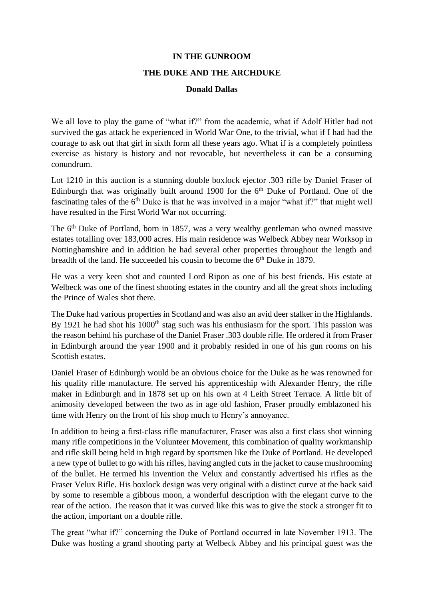## **IN THE GUNROOM**

## **THE DUKE AND THE ARCHDUKE**

## **Donald Dallas**

We all love to play the game of "what if?" from the academic, what if Adolf Hitler had not survived the gas attack he experienced in World War One, to the trivial, what if I had had the courage to ask out that girl in sixth form all these years ago. What if is a completely pointless exercise as history is history and not revocable, but nevertheless it can be a consuming conundrum.

Lot 1210 in this auction is a stunning double boxlock ejector .303 rifle by Daniel Fraser of Edinburgh that was originally built around 1900 for the  $6<sup>th</sup>$  Duke of Portland. One of the fascinating tales of the  $6<sup>th</sup>$  Duke is that he was involved in a major "what if?" that might well have resulted in the First World War not occurring.

The 6<sup>th</sup> Duke of Portland, born in 1857, was a very wealthy gentleman who owned massive estates totalling over 183,000 acres. His main residence was Welbeck Abbey near Worksop in Nottinghamshire and in addition he had several other properties throughout the length and breadth of the land. He succeeded his cousin to become the 6th Duke in 1879.

He was a very keen shot and counted Lord Ripon as one of his best friends. His estate at Welbeck was one of the finest shooting estates in the country and all the great shots including the Prince of Wales shot there.

The Duke had various properties in Scotland and was also an avid deer stalker in the Highlands. By 1921 he had shot his  $1000<sup>th</sup>$  stag such was his enthusiasm for the sport. This passion was the reason behind his purchase of the Daniel Fraser .303 double rifle. He ordered it from Fraser in Edinburgh around the year 1900 and it probably resided in one of his gun rooms on his Scottish estates.

Daniel Fraser of Edinburgh would be an obvious choice for the Duke as he was renowned for his quality rifle manufacture. He served his apprenticeship with Alexander Henry, the rifle maker in Edinburgh and in 1878 set up on his own at 4 Leith Street Terrace. A little bit of animosity developed between the two as in age old fashion, Fraser proudly emblazoned his time with Henry on the front of his shop much to Henry's annoyance.

In addition to being a first-class rifle manufacturer, Fraser was also a first class shot winning many rifle competitions in the Volunteer Movement, this combination of quality workmanship and rifle skill being held in high regard by sportsmen like the Duke of Portland. He developed a new type of bullet to go with his rifles, having angled cuts in the jacket to cause mushrooming of the bullet. He termed his invention the Velux and constantly advertised his rifles as the Fraser Velux Rifle. His boxlock design was very original with a distinct curve at the back said by some to resemble a gibbous moon, a wonderful description with the elegant curve to the rear of the action. The reason that it was curved like this was to give the stock a stronger fit to the action, important on a double rifle.

The great "what if?" concerning the Duke of Portland occurred in late November 1913. The Duke was hosting a grand shooting party at Welbeck Abbey and his principal guest was the